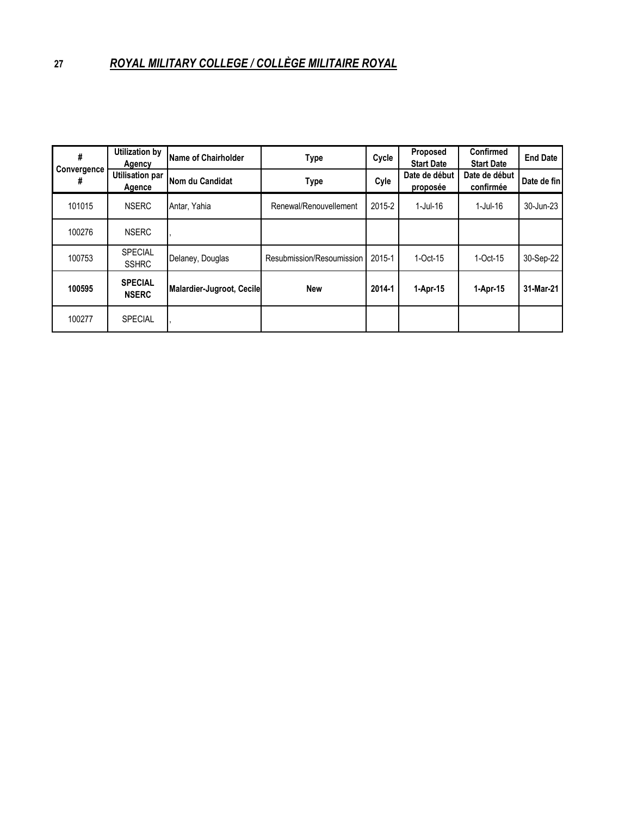| #<br>Convergence<br># | <b>Utilization by</b><br>Agency  | Name of Chairholder       | Type                      | Cycle  | Proposed<br><b>Start Date</b> | Confirmed<br><b>Start Date</b> | <b>End Date</b> |
|-----------------------|----------------------------------|---------------------------|---------------------------|--------|-------------------------------|--------------------------------|-----------------|
|                       | <b>Utilisation par</b><br>Agence | Nom du Candidat           | Type                      | Cyle   | Date de début<br>proposée     | Date de début<br>confirmée     | Date de fin     |
| 101015                | <b>NSERC</b>                     | Antar, Yahia              | Renewal/Renouvellement    | 2015-2 | $1$ -Jul-16                   | 1-Jul-16                       | 30-Jun-23       |
| 100276                | <b>NSERC</b>                     |                           |                           |        |                               |                                |                 |
| 100753                | <b>SPECIAL</b><br><b>SSHRC</b>   | Delaney, Douglas          | Resubmission/Resoumission | 2015-1 | $1$ -Oct-15                   | $1$ -Oct-15                    | 30-Sep-22       |
| 100595                | <b>SPECIAL</b><br><b>NSERC</b>   | Malardier-Jugroot, Cecile | <b>New</b>                | 2014-1 | 1-Apr-15                      | 1-Apr-15                       | 31-Mar-21       |
| 100277                | <b>SPECIAL</b>                   |                           |                           |        |                               |                                |                 |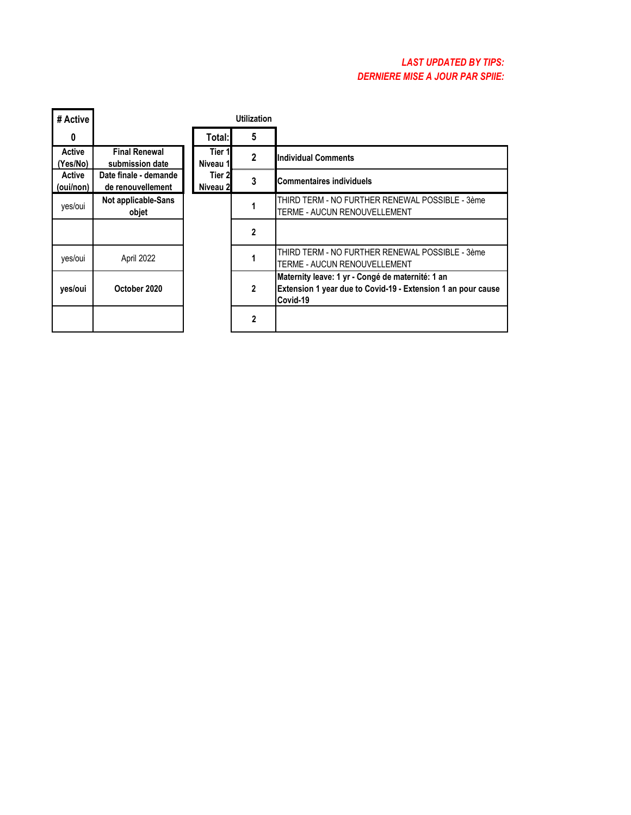## *LAST UPDATED BY TIPS: DERNIÈRE MISE À JOUR PAR SPIIE:*

| # Active            | <b>Utilization</b>                         |                     |              |                                                                                                                              |
|---------------------|--------------------------------------------|---------------------|--------------|------------------------------------------------------------------------------------------------------------------------------|
| 0                   |                                            | Total:I             | 5            |                                                                                                                              |
| Active<br>(Yes/No)  | <b>Final Renewal</b><br>submission date    | Tier 1<br>Niveau 1  | 2            | <b>Individual Comments</b>                                                                                                   |
| Active<br>(oui/non) | Date finale - demande<br>de renouvellement | Tier 2l<br>Niveau 2 | 3            | <b>Commentaires individuels</b>                                                                                              |
| yes/oui             | Not applicable-Sans<br>objet               |                     |              | THIRD TERM - NO FURTHER RENEWAL POSSIBLE - 3ème<br>TERME - AUCUN RENOUVELLEMENT                                              |
|                     |                                            |                     | $\mathbf{2}$ |                                                                                                                              |
| yes/oui             | April 2022                                 |                     |              | THIRD TERM - NO FURTHER RENEWAL POSSIBLE - 3ème<br>TERME - AUCUN RENOUVELLEMENT                                              |
| yes/oui             | October 2020                               |                     | 2            | Maternity leave: 1 yr - Congé de maternité: 1 an<br>Extension 1 year due to Covid-19 - Extension 1 an pour cause<br>Covid-19 |
|                     |                                            |                     | 2            |                                                                                                                              |

**F**